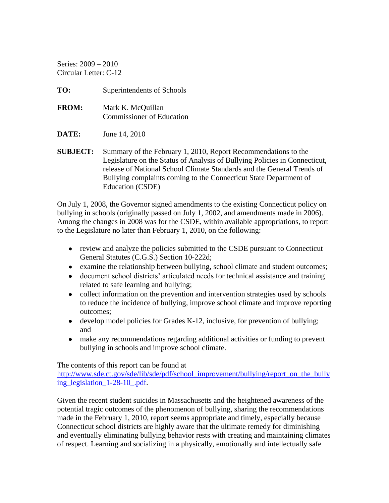Series: 2009 – 2010 Circular Letter: C-12

| TO:             | Superintendents of Schools                                                                                                                                                                                                                                                                                      |
|-----------------|-----------------------------------------------------------------------------------------------------------------------------------------------------------------------------------------------------------------------------------------------------------------------------------------------------------------|
| <b>FROM:</b>    | Mark K. McQuillan<br><b>Commissioner of Education</b>                                                                                                                                                                                                                                                           |
| DATE:           | June 14, 2010                                                                                                                                                                                                                                                                                                   |
| <b>SUBJECT:</b> | Summary of the February 1, 2010, Report Recommendations to the<br>Legislature on the Status of Analysis of Bullying Policies in Connecticut,<br>release of National School Climate Standards and the General Trends of<br>Bullying complaints coming to the Connecticut State Department of<br>Education (CSDE) |

On July 1, 2008, the Governor signed amendments to the existing Connecticut policy on bullying in schools (originally passed on July 1, 2002, and amendments made in 2006). Among the changes in 2008 was for the CSDE, within available appropriations, to report to the Legislature no later than February 1, 2010, on the following:

- review and analyze the policies submitted to the CSDE pursuant to Connecticut General Statutes (C.G.S.) Section 10-222d;
- examine the relationship between bullying, school climate and student outcomes;
- document school districts' articulated needs for technical assistance and training related to safe learning and bullying;
- collect information on the prevention and intervention strategies used by schools to reduce the incidence of bullying, improve school climate and improve reporting outcomes;
- develop model policies for Grades K-12, inclusive, for prevention of bullying; and
- make any recommendations regarding additional activities or funding to prevent bullying in schools and improve school climate.

The contents of this report can be found at

[http://www.sde.ct.gov/sde/lib/sde/pdf/school\\_improvement/bullying/report\\_on\\_the\\_bully](http://www.sde.ct.gov/sde/lib/sde/pdf/school_improvement/bullying/report_on_the_bullying_legislation_1-28-10_.pdf) ing legislation 1-28-10 .pdf.

Given the recent student suicides in Massachusetts and the heightened awareness of the potential tragic outcomes of the phenomenon of bullying, sharing the recommendations made in the February 1, 2010, report seems appropriate and timely, especially because Connecticut school districts are highly aware that the ultimate remedy for diminishing and eventually eliminating bullying behavior rests with creating and maintaining climates of respect. Learning and socializing in a physically, emotionally and intellectually safe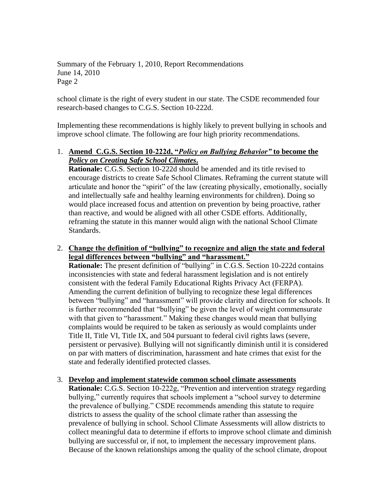Summary of the February 1, 2010, Report Recommendations June 14, 2010 Page 2

school climate is the right of every student in our state. The CSDE recommended four research-based changes to C.G.S. Section 10-222d.

Implementing these recommendations is highly likely to prevent bullying in schools and improve school climate. The following are four high priority recommendations.

## 1. **Amend C.G.S. Section 10-222d, "***Policy on Bullying Behavior"* **to become the**  *Policy on Creating Safe School Climates***.**

**Rationale:** C.G.S. Section 10-222d should be amended and its title revised to encourage districts to create Safe School Climates. Reframing the current statute will articulate and honor the "spirit" of the law (creating physically, emotionally, socially and intellectually safe and healthy learning environments for children). Doing so would place increased focus and attention on prevention by being proactive, rather than reactive, and would be aligned with all other CSDE efforts. Additionally, reframing the statute in this manner would align with the national School Climate Standards.

## 2. **Change the definition of "bullying" to recognize and align the state and federal legal differences between "bullying" and "harassment."**

**Rationale:** The present definition of "bullying" in C.G.S. Section 10-222d contains inconsistencies with state and federal harassment legislation and is not entirely consistent with the federal Family Educational Rights Privacy Act (FERPA). Amending the current definition of bullying to recognize these legal differences between "bullying" and "harassment" will provide clarity and direction for schools. It is further recommended that "bullying" be given the level of weight commensurate with that given to "harassment." Making these changes would mean that bullying complaints would be required to be taken as seriously as would complaints under Title II, Title VI, Title IX, and 504 pursuant to federal civil rights laws (severe, persistent or pervasive). Bullying will not significantly diminish until it is considered on par with matters of discrimination, harassment and hate crimes that exist for the state and federally identified protected classes.

## 3. **Develop and implement statewide common school climate assessments**

**Rationale:** C.G.S. Section 10-222g, "Prevention and intervention strategy regarding bullying," currently requires that schools implement a "school survey to determine the prevalence of bullying." CSDE recommends amending this statute to require districts to assess the quality of the school climate rather than assessing the prevalence of bullying in school. School Climate Assessments will allow districts to collect meaningful data to determine if efforts to improve school climate and diminish bullying are successful or, if not, to implement the necessary improvement plans. Because of the known relationships among the quality of the school climate, dropout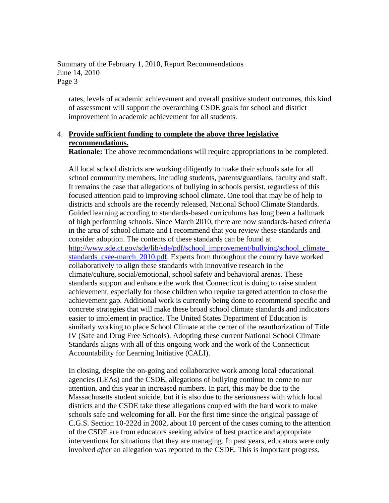Summary of the February 1, 2010, Report Recommendations June 14, 2010 Page 3

rates, levels of academic achievement and overall positive student outcomes, this kind of assessment will support the overarching CSDE goals for school and district improvement in academic achievement for all students.

## 4. **Provide sufficient funding to complete the above three legislative recommendations.**

**Rationale:** The above recommendations will require appropriations to be completed.

All local school districts are working diligently to make their schools safe for all school community members, including students, parents/guardians, faculty and staff. It remains the case that allegations of bullying in schools persist, regardless of this focused attention paid to improving school climate. One tool that may be of help to districts and schools are the recently released, National School Climate Standards. Guided learning according to standards-based curriculums has long been a hallmark of high performing schools. Since March 2010, there are now standards-based criteria in the area of school climate and I recommend that you review these standards and consider adoption. The contents of these standards can be found at [http://www.sde.ct.gov/sde/lib/sde/pdf/school\\_improvement/bullying/school\\_climate\\_](http://www.sde.ct.gov/sde/lib/sde/pdf/school_improvement/bullying/school_climate_standards_csee-march_2010.pdf) [standards\\_csee-march\\_2010.pdf.](http://www.sde.ct.gov/sde/lib/sde/pdf/school_improvement/bullying/school_climate_standards_csee-march_2010.pdf) Experts from throughout the country have worked collaboratively to align these standards with innovative research in the climate/culture, social/emotional, school safety and behavioral arenas. These standards support and enhance the work that Connecticut is doing to raise student achievement, especially for those children who require targeted attention to close the achievement gap. Additional work is currently being done to recommend specific and concrete strategies that will make these broad school climate standards and indicators easier to implement in practice. The United States Department of Education is similarly working to place School Climate at the center of the reauthorization of Title IV (Safe and Drug Free Schools). Adopting these current National School Climate Standards aligns with all of this ongoing work and the work of the Connecticut Accountability for Learning Initiative (CALI).

In closing, despite the on-going and collaborative work among local educational agencies (LEAs) and the CSDE, allegations of bullying continue to come to our attention, and this year in increased numbers. In part, this may be due to the Massachusetts student suicide, but it is also due to the seriousness with which local districts and the CSDE take these allegations coupled with the hard work to make schools safe and welcoming for all. For the first time since the original passage of C.G.S. Section 10-222d in 2002, about 10 percent of the cases coming to the attention of the CSDE are from educators seeking advice of best practice and appropriate interventions for situations that they are managing. In past years, educators were only involved *after* an allegation was reported to the CSDE. This is important progress.